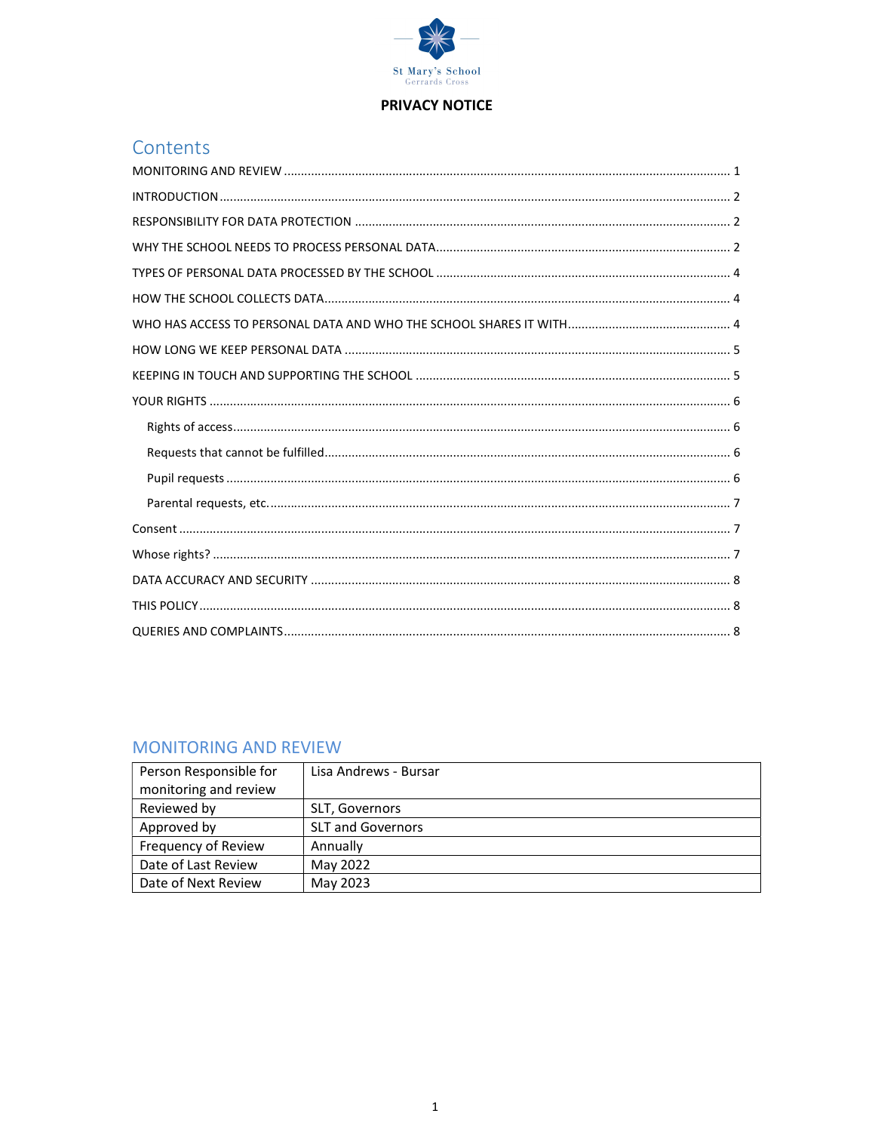

#### **PRIVACY NOTICE**

# Contents

#### **MONITORING AND REVIEW**

| Person Responsible for | Lisa Andrews - Bursar    |
|------------------------|--------------------------|
| monitoring and review  |                          |
| Reviewed by            | SLT, Governors           |
| Approved by            | <b>SLT and Governors</b> |
| Frequency of Review    | Annually                 |
| Date of Last Review    | May 2022                 |
| Date of Next Review    | May 2023                 |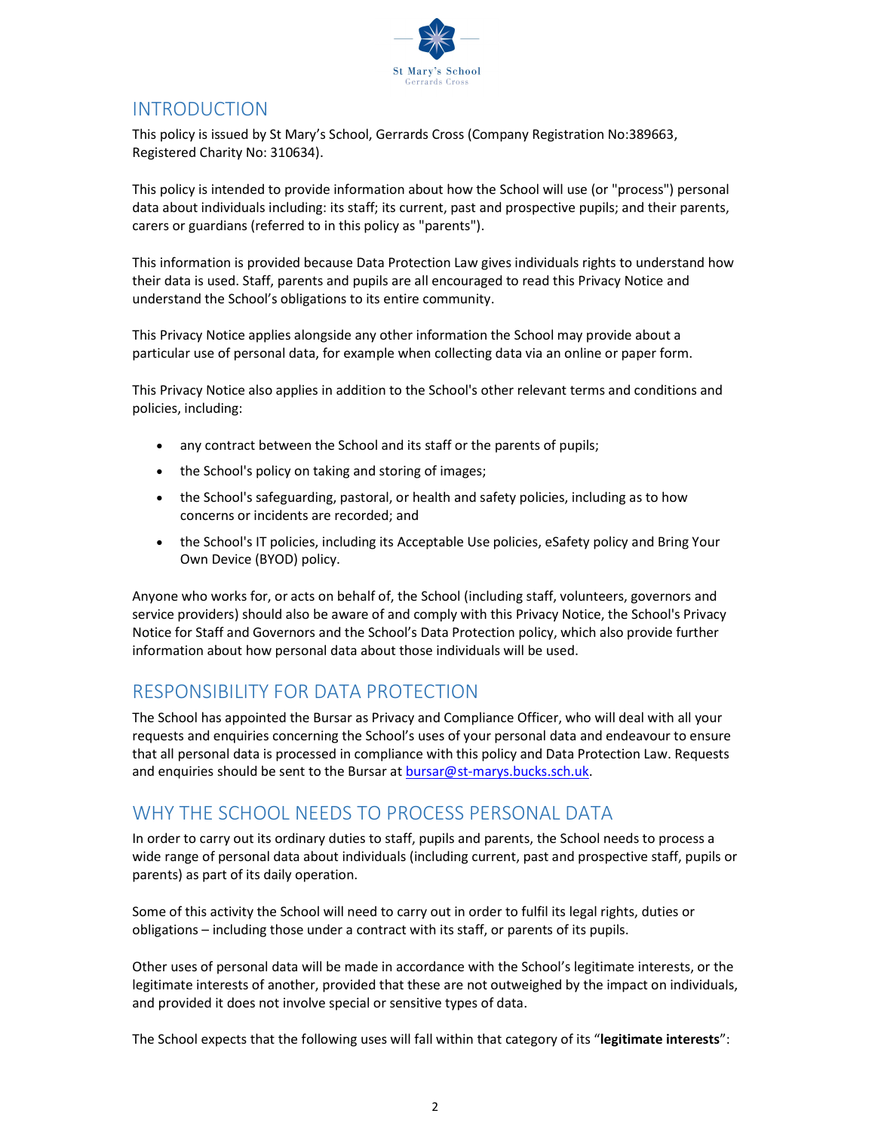

# INTRODUCTION

This policy is issued by St Mary's School, Gerrards Cross (Company Registration No:389663, Registered Charity No: 310634).

This policy is intended to provide information about how the School will use (or "process") personal data about individuals including: its staff; its current, past and prospective pupils; and their parents, carers or guardians (referred to in this policy as "parents").

This information is provided because Data Protection Law gives individuals rights to understand how their data is used. Staff, parents and pupils are all encouraged to read this Privacy Notice and understand the School's obligations to its entire community.

This Privacy Notice applies alongside any other information the School may provide about a particular use of personal data, for example when collecting data via an online or paper form.

This Privacy Notice also applies in addition to the School's other relevant terms and conditions and policies, including:

- any contract between the School and its staff or the parents of pupils;
- the School's policy on taking and storing of images;
- the School's safeguarding, pastoral, or health and safety policies, including as to how concerns or incidents are recorded; and
- the School's IT policies, including its Acceptable Use policies, eSafety policy and Bring Your Own Device (BYOD) policy.

Anyone who works for, or acts on behalf of, the School (including staff, volunteers, governors and service providers) should also be aware of and comply with this Privacy Notice, the School's Privacy Notice for Staff and Governors and the School's Data Protection policy, which also provide further information about how personal data about those individuals will be used.

### RESPONSIBILITY FOR DATA PROTECTION

The School has appointed the Bursar as Privacy and Compliance Officer, who will deal with all your requests and enquiries concerning the School's uses of your personal data and endeavour to ensure that all personal data is processed in compliance with this policy and Data Protection Law. Requests and enquiries should be sent to the Bursar at bursar@st-marys.bucks.sch.uk.

### WHY THE SCHOOL NEEDS TO PROCESS PERSONAL DATA

In order to carry out its ordinary duties to staff, pupils and parents, the School needs to process a wide range of personal data about individuals (including current, past and prospective staff, pupils or parents) as part of its daily operation.

Some of this activity the School will need to carry out in order to fulfil its legal rights, duties or obligations – including those under a contract with its staff, or parents of its pupils.

Other uses of personal data will be made in accordance with the School's legitimate interests, or the legitimate interests of another, provided that these are not outweighed by the impact on individuals, and provided it does not involve special or sensitive types of data.

The School expects that the following uses will fall within that category of its "legitimate interests":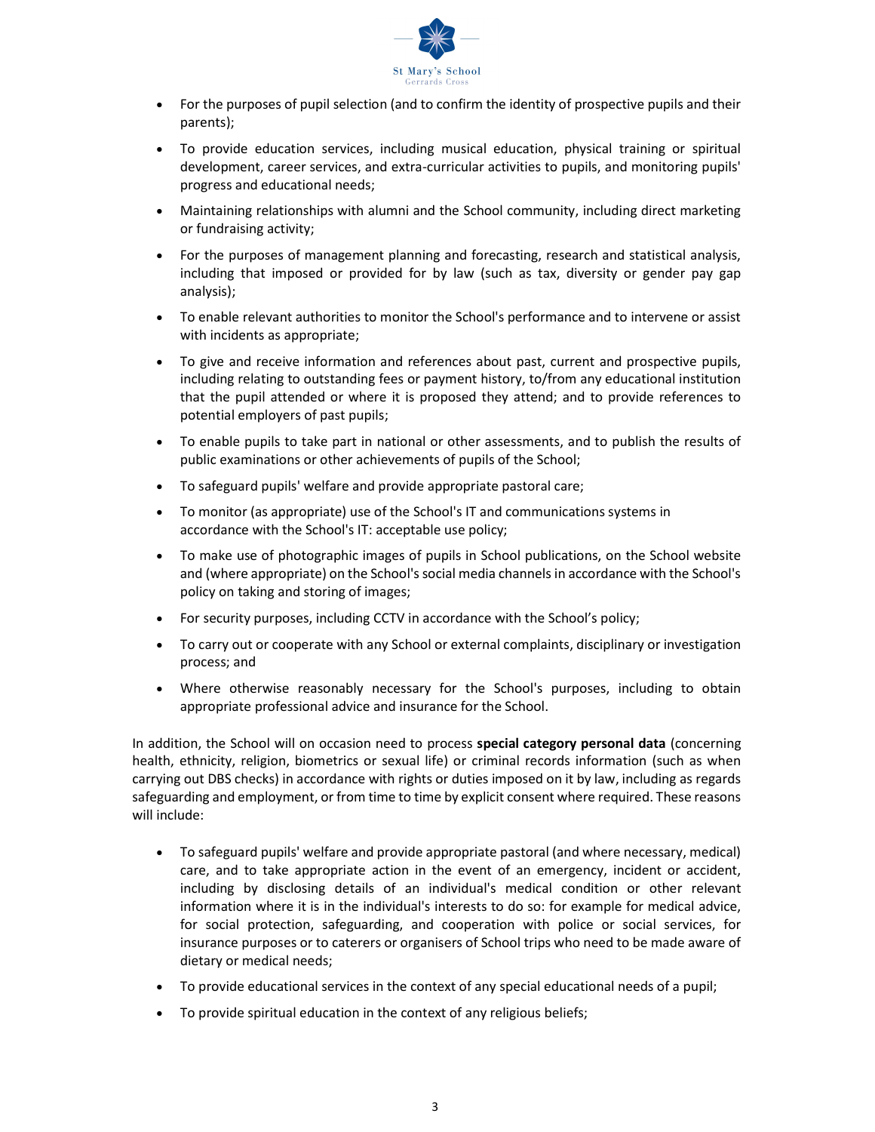

- For the purposes of pupil selection (and to confirm the identity of prospective pupils and their parents);
- To provide education services, including musical education, physical training or spiritual development, career services, and extra-curricular activities to pupils, and monitoring pupils' progress and educational needs;
- Maintaining relationships with alumni and the School community, including direct marketing or fundraising activity;
- For the purposes of management planning and forecasting, research and statistical analysis, including that imposed or provided for by law (such as tax, diversity or gender pay gap analysis);
- To enable relevant authorities to monitor the School's performance and to intervene or assist with incidents as appropriate;
- To give and receive information and references about past, current and prospective pupils, including relating to outstanding fees or payment history, to/from any educational institution that the pupil attended or where it is proposed they attend; and to provide references to potential employers of past pupils;
- To enable pupils to take part in national or other assessments, and to publish the results of public examinations or other achievements of pupils of the School;
- To safeguard pupils' welfare and provide appropriate pastoral care;
- To monitor (as appropriate) use of the School's IT and communications systems in accordance with the School's IT: acceptable use policy;
- To make use of photographic images of pupils in School publications, on the School website and (where appropriate) on the School's social media channels in accordance with the School's policy on taking and storing of images;
- For security purposes, including CCTV in accordance with the School's policy;
- To carry out or cooperate with any School or external complaints, disciplinary or investigation process; and
- Where otherwise reasonably necessary for the School's purposes, including to obtain appropriate professional advice and insurance for the School.

In addition, the School will on occasion need to process special category personal data (concerning health, ethnicity, religion, biometrics or sexual life) or criminal records information (such as when carrying out DBS checks) in accordance with rights or duties imposed on it by law, including as regards safeguarding and employment, or from time to time by explicit consent where required. These reasons will include:

- To safeguard pupils' welfare and provide appropriate pastoral (and where necessary, medical) care, and to take appropriate action in the event of an emergency, incident or accident, including by disclosing details of an individual's medical condition or other relevant information where it is in the individual's interests to do so: for example for medical advice, for social protection, safeguarding, and cooperation with police or social services, for insurance purposes or to caterers or organisers of School trips who need to be made aware of dietary or medical needs;
- To provide educational services in the context of any special educational needs of a pupil;
- To provide spiritual education in the context of any religious beliefs;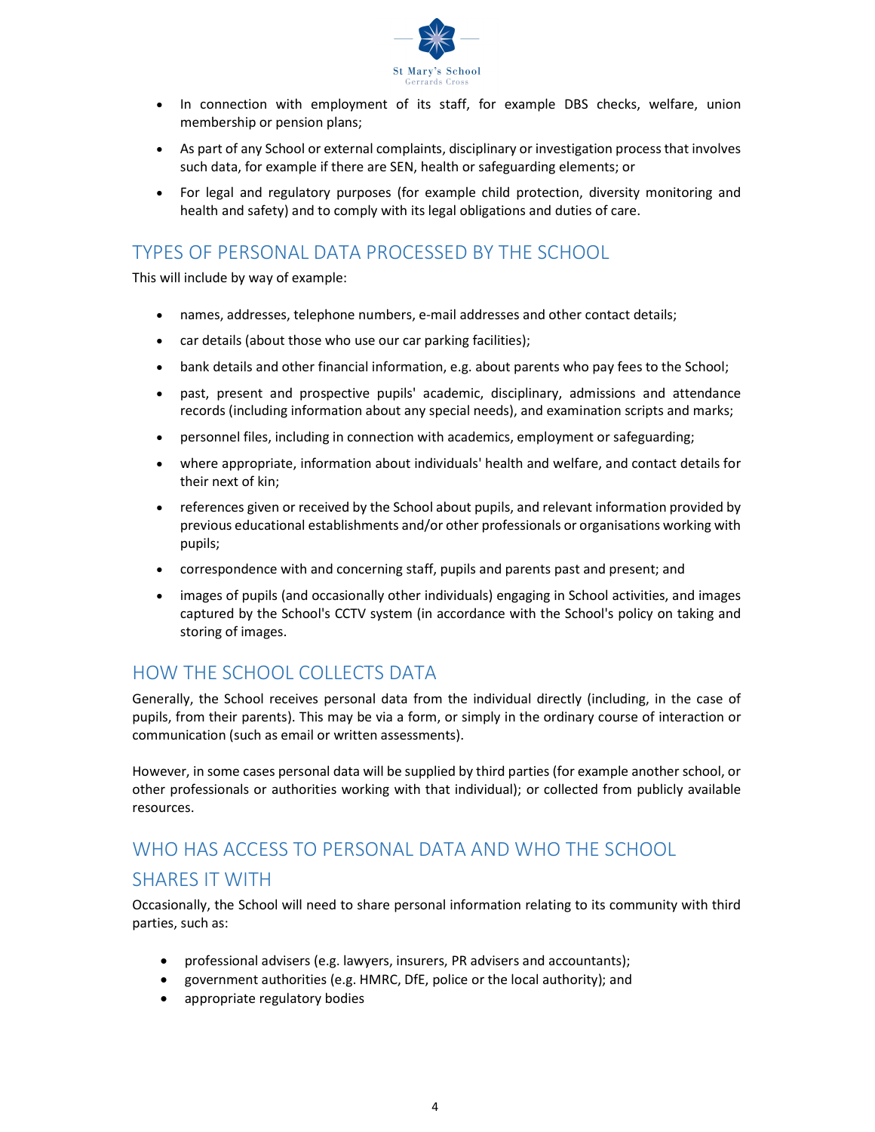

- In connection with employment of its staff, for example DBS checks, welfare, union membership or pension plans;
- As part of any School or external complaints, disciplinary or investigation process that involves such data, for example if there are SEN, health or safeguarding elements; or
- For legal and regulatory purposes (for example child protection, diversity monitoring and health and safety) and to comply with its legal obligations and duties of care.

# TYPES OF PERSONAL DATA PROCESSED BY THE SCHOOL

This will include by way of example:

- names, addresses, telephone numbers, e-mail addresses and other contact details;
- car details (about those who use our car parking facilities);
- bank details and other financial information, e.g. about parents who pay fees to the School;
- past, present and prospective pupils' academic, disciplinary, admissions and attendance records (including information about any special needs), and examination scripts and marks;
- personnel files, including in connection with academics, employment or safeguarding;
- where appropriate, information about individuals' health and welfare, and contact details for their next of kin;
- references given or received by the School about pupils, and relevant information provided by previous educational establishments and/or other professionals or organisations working with pupils;
- correspondence with and concerning staff, pupils and parents past and present; and
- images of pupils (and occasionally other individuals) engaging in School activities, and images captured by the School's CCTV system (in accordance with the School's policy on taking and storing of images.

# HOW THE SCHOOL COLLECTS DATA

Generally, the School receives personal data from the individual directly (including, in the case of pupils, from their parents). This may be via a form, or simply in the ordinary course of interaction or communication (such as email or written assessments).

However, in some cases personal data will be supplied by third parties (for example another school, or other professionals or authorities working with that individual); or collected from publicly available resources.

# WHO HAS ACCESS TO PERSONAL DATA AND WHO THE SCHOOL SHARES IT WITH

Occasionally, the School will need to share personal information relating to its community with third parties, such as:

- professional advisers (e.g. lawyers, insurers, PR advisers and accountants);
- government authorities (e.g. HMRC, DfE, police or the local authority); and
- appropriate regulatory bodies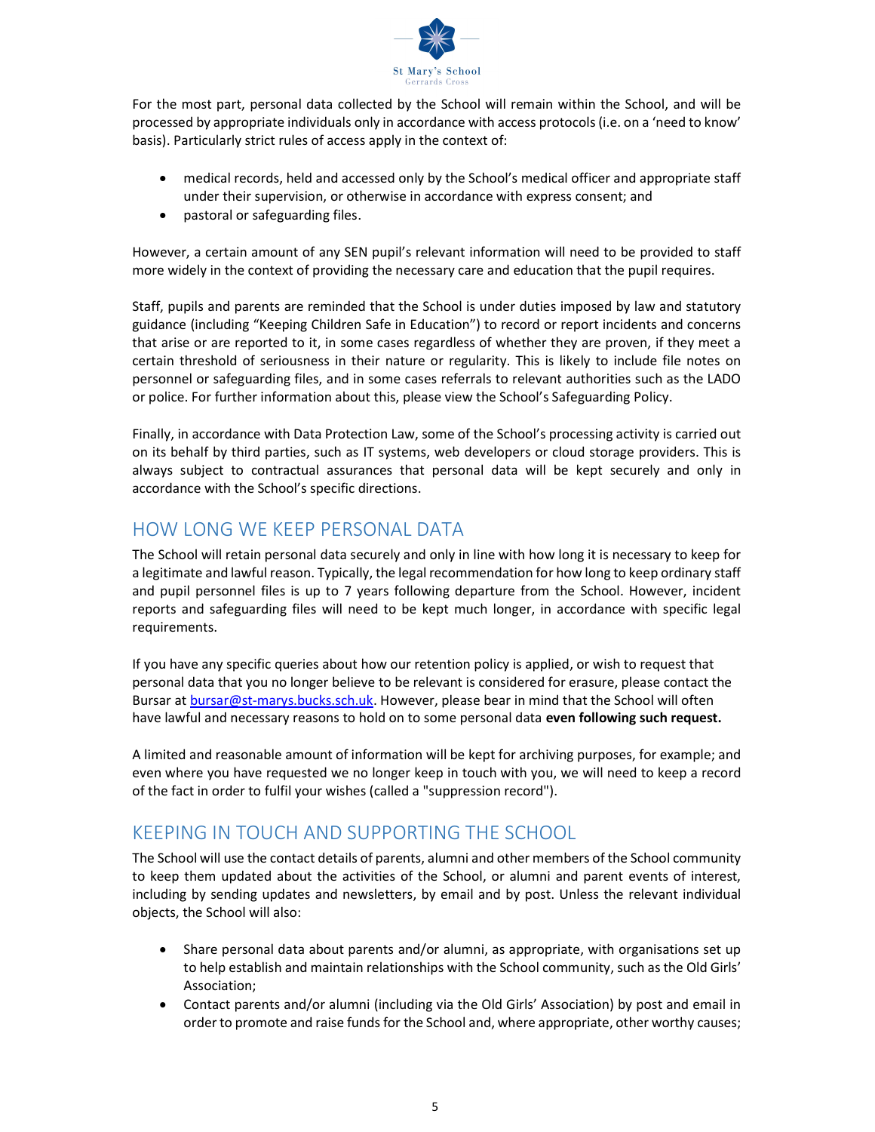

For the most part, personal data collected by the School will remain within the School, and will be processed by appropriate individuals only in accordance with access protocols (i.e. on a 'need to know' basis). Particularly strict rules of access apply in the context of:

- medical records, held and accessed only by the School's medical officer and appropriate staff under their supervision, or otherwise in accordance with express consent; and
- pastoral or safeguarding files.

However, a certain amount of any SEN pupil's relevant information will need to be provided to staff more widely in the context of providing the necessary care and education that the pupil requires.

Staff, pupils and parents are reminded that the School is under duties imposed by law and statutory guidance (including "Keeping Children Safe in Education") to record or report incidents and concerns that arise or are reported to it, in some cases regardless of whether they are proven, if they meet a certain threshold of seriousness in their nature or regularity. This is likely to include file notes on personnel or safeguarding files, and in some cases referrals to relevant authorities such as the LADO or police. For further information about this, please view the School's Safeguarding Policy.

Finally, in accordance with Data Protection Law, some of the School's processing activity is carried out on its behalf by third parties, such as IT systems, web developers or cloud storage providers. This is always subject to contractual assurances that personal data will be kept securely and only in accordance with the School's specific directions.

# HOW LONG WE KEEP PERSONAL DATA

The School will retain personal data securely and only in line with how long it is necessary to keep for a legitimate and lawful reason. Typically, the legal recommendation for how long to keep ordinary staff and pupil personnel files is up to 7 years following departure from the School. However, incident reports and safeguarding files will need to be kept much longer, in accordance with specific legal requirements.

If you have any specific queries about how our retention policy is applied, or wish to request that personal data that you no longer believe to be relevant is considered for erasure, please contact the Bursar at bursar@st-marys.bucks.sch.uk. However, please bear in mind that the School will often have lawful and necessary reasons to hold on to some personal data even following such request.

A limited and reasonable amount of information will be kept for archiving purposes, for example; and even where you have requested we no longer keep in touch with you, we will need to keep a record of the fact in order to fulfil your wishes (called a "suppression record").

### KEEPING IN TOUCH AND SUPPORTING THE SCHOOL

The School will use the contact details of parents, alumni and other members of the School community to keep them updated about the activities of the School, or alumni and parent events of interest, including by sending updates and newsletters, by email and by post. Unless the relevant individual objects, the School will also:

- Share personal data about parents and/or alumni, as appropriate, with organisations set up to help establish and maintain relationships with the School community, such as the Old Girls' Association;
- Contact parents and/or alumni (including via the Old Girls' Association) by post and email in order to promote and raise funds for the School and, where appropriate, other worthy causes;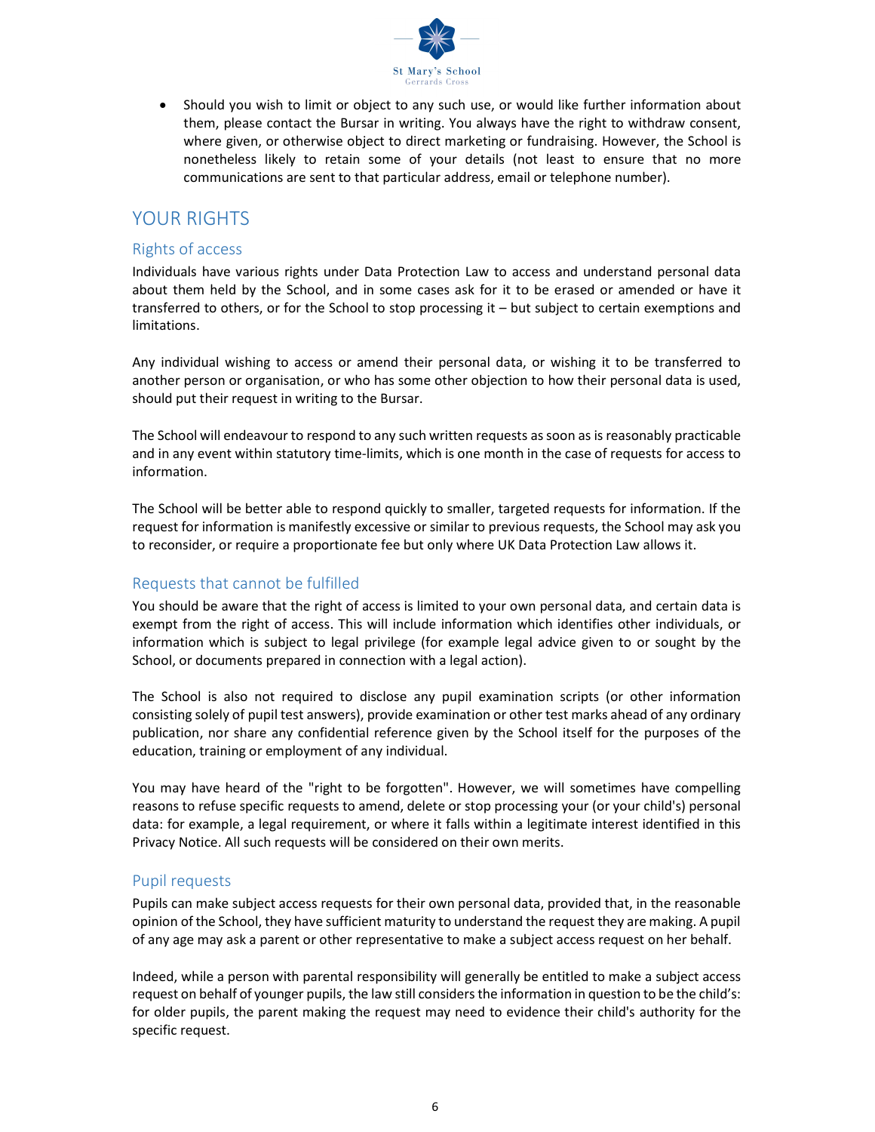

 Should you wish to limit or object to any such use, or would like further information about them, please contact the Bursar in writing. You always have the right to withdraw consent, where given, or otherwise object to direct marketing or fundraising. However, the School is nonetheless likely to retain some of your details (not least to ensure that no more communications are sent to that particular address, email or telephone number).

#### YOUR RIGHTS

#### Rights of access

Individuals have various rights under Data Protection Law to access and understand personal data about them held by the School, and in some cases ask for it to be erased or amended or have it transferred to others, or for the School to stop processing it – but subject to certain exemptions and limitations.

Any individual wishing to access or amend their personal data, or wishing it to be transferred to another person or organisation, or who has some other objection to how their personal data is used, should put their request in writing to the Bursar.

The School will endeavour to respond to any such written requests as soon as is reasonably practicable and in any event within statutory time-limits, which is one month in the case of requests for access to information.

The School will be better able to respond quickly to smaller, targeted requests for information. If the request for information is manifestly excessive or similar to previous requests, the School may ask you to reconsider, or require a proportionate fee but only where UK Data Protection Law allows it.

#### Requests that cannot be fulfilled

You should be aware that the right of access is limited to your own personal data, and certain data is exempt from the right of access. This will include information which identifies other individuals, or information which is subject to legal privilege (for example legal advice given to or sought by the School, or documents prepared in connection with a legal action).

The School is also not required to disclose any pupil examination scripts (or other information consisting solely of pupil test answers), provide examination or other test marks ahead of any ordinary publication, nor share any confidential reference given by the School itself for the purposes of the education, training or employment of any individual.

You may have heard of the "right to be forgotten". However, we will sometimes have compelling reasons to refuse specific requests to amend, delete or stop processing your (or your child's) personal data: for example, a legal requirement, or where it falls within a legitimate interest identified in this Privacy Notice. All such requests will be considered on their own merits.

#### Pupil requests

Pupils can make subject access requests for their own personal data, provided that, in the reasonable opinion of the School, they have sufficient maturity to understand the request they are making. A pupil of any age may ask a parent or other representative to make a subject access request on her behalf.

Indeed, while a person with parental responsibility will generally be entitled to make a subject access request on behalf of younger pupils, the law still considers the information in question to be the child's: for older pupils, the parent making the request may need to evidence their child's authority for the specific request.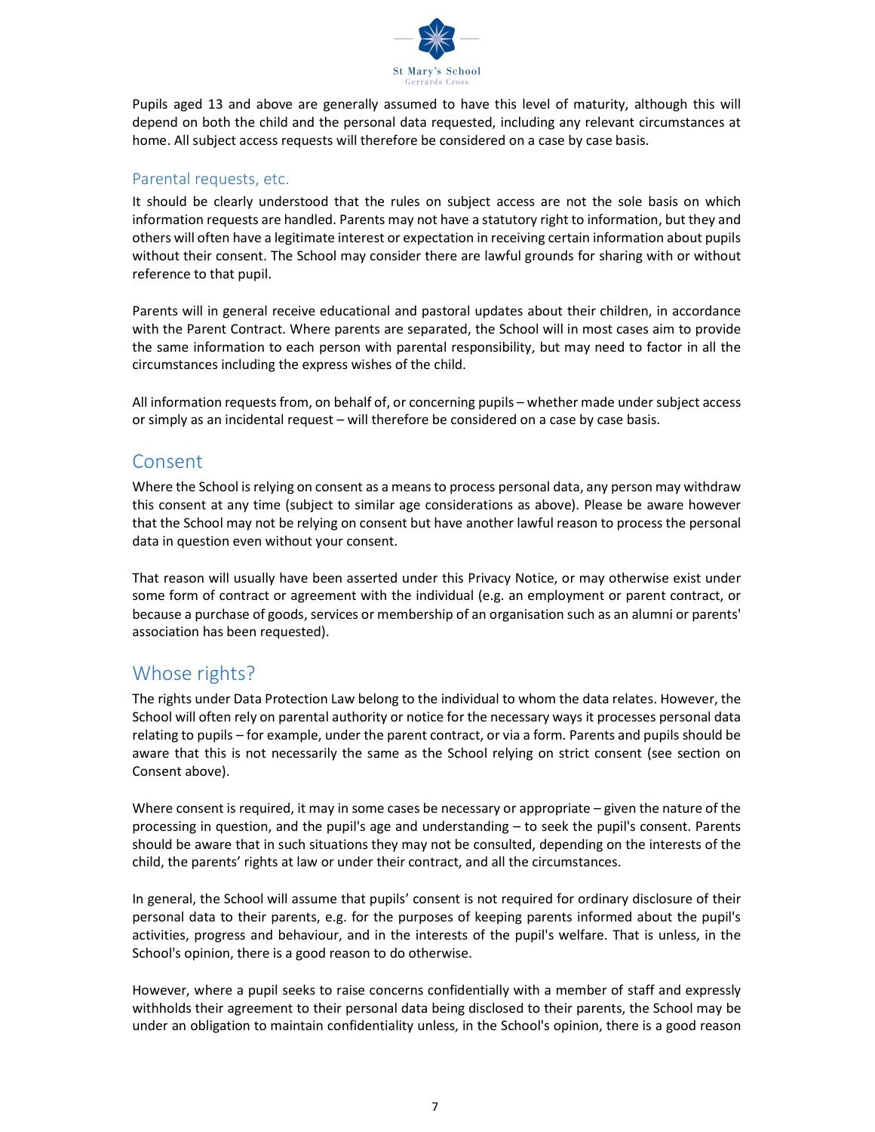

Pupils aged 13 and above are generally assumed to have this level of maturity, although this will depend on both the child and the personal data requested, including any relevant circumstances at home. All subject access requests will therefore be considered on a case by case basis.

#### Parental requests, etc.

It should be clearly understood that the rules on subject access are not the sole basis on which information requests are handled. Parents may not have a statutory right to information, but they and others will often have a legitimate interest or expectation in receiving certain information about pupils without their consent. The School may consider there are lawful grounds for sharing with or without reference to that pupil.

Parents will in general receive educational and pastoral updates about their children, in accordance with the Parent Contract. Where parents are separated, the School will in most cases aim to provide the same information to each person with parental responsibility, but may need to factor in all the circumstances including the express wishes of the child.

All information requests from, on behalf of, or concerning pupils – whether made under subject access or simply as an incidental request – will therefore be considered on a case by case basis.

#### Consent

Where the School is relying on consent as a means to process personal data, any person may withdraw this consent at any time (subject to similar age considerations as above). Please be aware however that the School may not be relying on consent but have another lawful reason to process the personal data in question even without your consent.

That reason will usually have been asserted under this Privacy Notice, or may otherwise exist under some form of contract or agreement with the individual (e.g. an employment or parent contract, or because a purchase of goods, services or membership of an organisation such as an alumni or parents' association has been requested).

### Whose rights?

The rights under Data Protection Law belong to the individual to whom the data relates. However, the School will often rely on parental authority or notice for the necessary ways it processes personal data relating to pupils – for example, under the parent contract, or via a form. Parents and pupils should be aware that this is not necessarily the same as the School relying on strict consent (see section on Consent above).

Where consent is required, it may in some cases be necessary or appropriate – given the nature of the processing in question, and the pupil's age and understanding – to seek the pupil's consent. Parents should be aware that in such situations they may not be consulted, depending on the interests of the child, the parents' rights at law or under their contract, and all the circumstances.

In general, the School will assume that pupils' consent is not required for ordinary disclosure of their personal data to their parents, e.g. for the purposes of keeping parents informed about the pupil's activities, progress and behaviour, and in the interests of the pupil's welfare. That is unless, in the School's opinion, there is a good reason to do otherwise.

However, where a pupil seeks to raise concerns confidentially with a member of staff and expressly withholds their agreement to their personal data being disclosed to their parents, the School may be under an obligation to maintain confidentiality unless, in the School's opinion, there is a good reason